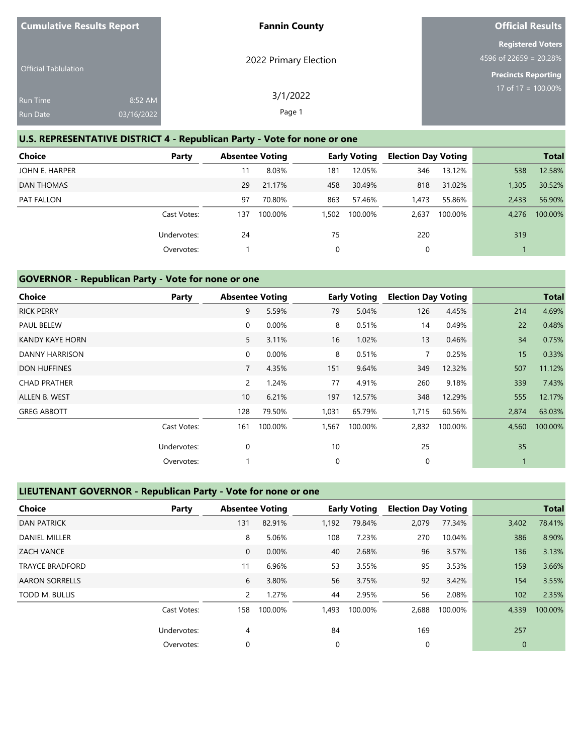| <b>Cumulative Results Report</b> |            | <b>Fannin County</b>  | <b>Official Results</b>    |
|----------------------------------|------------|-----------------------|----------------------------|
|                                  |            |                       | <b>Registered Voters</b>   |
|                                  |            | 2022 Primary Election | 4596 of 22659 = 20.28%     |
| <b>Official Tablulation</b>      |            |                       | <b>Precincts Reporting</b> |
| <b>Run Time</b>                  | 8:52 AM    | 3/1/2022              | $17$ of 17 = 100.00%       |
|                                  |            |                       |                            |
| <b>Run Date</b>                  | 03/16/2022 | Page 1                |                            |

# **U.S. REPRESENTATIVE DISTRICT 4 - Republican Party - Vote for none or one**

| <b>Choice</b>  | Party       | <b>Absentee Voting</b> |         |       | <b>Early Voting</b> | <b>Election Day Voting</b> |         |       | <b>Total</b> |
|----------------|-------------|------------------------|---------|-------|---------------------|----------------------------|---------|-------|--------------|
| JOHN E. HARPER |             | 11                     | 8.03%   | 181   | 12.05%              | 346                        | 13.12%  | 538   | 12.58%       |
| DAN THOMAS     |             | 29                     | 21.17%  | 458   | 30.49%              | 818                        | 31.02%  | 1,305 | 30.52%       |
| PAT FALLON     |             | 97                     | 70.80%  | 863   | 57.46%              | 1,473                      | 55.86%  | 2.433 | 56.90%       |
|                | Cast Votes: | 137                    | 100.00% | 1,502 | 100.00%             | 2,637                      | 100.00% | 4.276 | 100.00%      |
|                | Undervotes: | 24                     |         | 75    |                     | 220                        |         | 319   |              |
|                | Overvotes:  |                        |         | 0     |                     | 0                          |         |       |              |

## **GOVERNOR - Republican Party - Vote for none or one**

| <b>Choice</b>       | Party       | <b>Absentee Voting</b> |          |             | <b>Early Voting</b> | <b>Election Day Voting</b> |         |       | <b>Total</b> |
|---------------------|-------------|------------------------|----------|-------------|---------------------|----------------------------|---------|-------|--------------|
| <b>RICK PERRY</b>   |             | 9                      | 5.59%    | 79          | 5.04%               | 126                        | 4.45%   | 214   | 4.69%        |
| <b>PAUL BELEW</b>   |             | 0                      | 0.00%    | 8           | 0.51%               | 14                         | 0.49%   | 22    | 0.48%        |
| KANDY KAYE HORN     |             | 5                      | 3.11%    | 16          | 1.02%               | 13                         | 0.46%   | 34    | 0.75%        |
| DANNY HARRISON      |             | 0                      | $0.00\%$ | 8           | 0.51%               | $\overline{7}$             | 0.25%   | 15    | 0.33%        |
| <b>DON HUFFINES</b> |             | $\overline{7}$         | 4.35%    | 151         | 9.64%               | 349                        | 12.32%  | 507   | 11.12%       |
| <b>CHAD PRATHER</b> |             | 2                      | 1.24%    | 77          | 4.91%               | 260                        | 9.18%   | 339   | 7.43%        |
| ALLEN B. WEST       |             | 10 <sup>°</sup>        | 6.21%    | 197         | 12.57%              | 348                        | 12.29%  | 555   | 12.17%       |
| <b>GREG ABBOTT</b>  |             | 128                    | 79.50%   | 1,031       | 65.79%              | 1,715                      | 60.56%  | 2,874 | 63.03%       |
|                     | Cast Votes: | 161                    | 100.00%  | 1,567       | 100.00%             | 2,832                      | 100.00% | 4,560 | 100.00%      |
|                     | Undervotes: | $\mathbf 0$            |          | 10          |                     | 25                         |         | 35    |              |
|                     | Overvotes:  |                        |          | $\mathbf 0$ |                     | 0                          |         |       |              |

## **LIEUTENANT GOVERNOR - Republican Party - Vote for none or one**

| Choice                 | Party       |                | <b>Absentee Voting</b> |          | <b>Early Voting</b> | <b>Election Day Voting</b> |         |              | <b>Total</b> |
|------------------------|-------------|----------------|------------------------|----------|---------------------|----------------------------|---------|--------------|--------------|
| <b>DAN PATRICK</b>     |             | 131            | 82.91%                 | 1,192    | 79.84%              | 2,079                      | 77.34%  | 3,402        | 78.41%       |
| <b>DANIEL MILLER</b>   |             | 8              | 5.06%                  | 108      | 7.23%               | 270                        | 10.04%  | 386          | 8.90%        |
| <b>ZACH VANCE</b>      |             | $\mathbf{0}$   | 0.00%                  | 40       | 2.68%               | 96                         | 3.57%   | 136          | 3.13%        |
| <b>TRAYCE BRADFORD</b> |             | 11             | 6.96%                  | 53       | 3.55%               | 95                         | 3.53%   | 159          | 3.66%        |
| <b>AARON SORRELLS</b>  |             | 6              | 3.80%                  | 56       | 3.75%               | 92                         | 3.42%   | 154          | 3.55%        |
| TODD M. BULLIS         |             | $\overline{2}$ | 1.27%                  | 44       | 2.95%               | 56                         | 2.08%   | 102          | 2.35%        |
|                        | Cast Votes: | 158            | 100.00%                | 1,493    | 100.00%             | 2,688                      | 100.00% | 4,339        | 100.00%      |
|                        | Undervotes: | 4              |                        | 84       |                     | 169                        |         | 257          |              |
|                        | Overvotes:  | 0              |                        | $\Omega$ |                     | 0                          |         | $\mathbf{0}$ |              |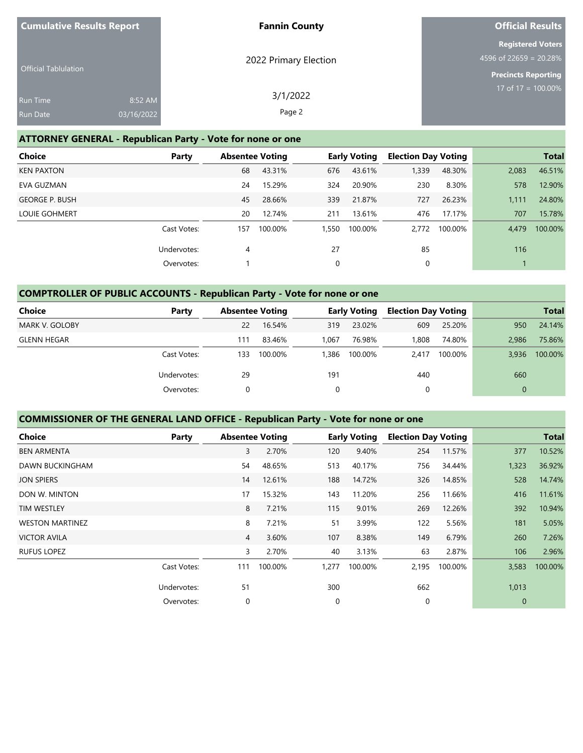| <b>Cumulative Results Report</b>   |                       | <b>Fannin County</b>  | <b>Official Results</b>                                                          |
|------------------------------------|-----------------------|-----------------------|----------------------------------------------------------------------------------|
| <b>Official Tablulation</b>        |                       | 2022 Primary Election | <b>Registered Voters</b><br>4596 of 22659 = 20.28%<br><b>Precincts Reporting</b> |
| <b>Run Time</b><br><b>Run Date</b> | 8:52 AM<br>03/16/2022 | 3/1/2022<br>Page 2    | 17 of $17 = 100.00\%$                                                            |

## **ATTORNEY GENERAL - Republican Party - Vote for none or one**

| <b>Choice</b>         | Party       |     | <b>Absentee Voting</b> |       | <b>Early Voting</b> | <b>Election Day Voting</b> |         |       | <b>Total</b> |
|-----------------------|-------------|-----|------------------------|-------|---------------------|----------------------------|---------|-------|--------------|
| <b>KEN PAXTON</b>     |             | 68  | 43.31%                 | 676   | 43.61%              | 1,339                      | 48.30%  | 2,083 | 46.51%       |
| EVA GUZMAN            |             | 24  | 15.29%                 | 324   | 20.90%              | 230                        | 8.30%   | 578   | 12.90%       |
| <b>GEORGE P. BUSH</b> |             | 45  | 28.66%                 | 339   | 21.87%              | 727                        | 26.23%  | 1.111 | 24.80%       |
| <b>LOUIE GOHMERT</b>  |             | 20  | 12.74%                 | 211   | 13.61%              | 476                        | 17.17%  | 707   | 15.78%       |
|                       | Cast Votes: | 157 | 100.00%                | 1,550 | 100.00%             | 2.772                      | 100.00% | 4.479 | 100.00%      |
|                       | Undervotes: | 4   |                        | 27    |                     | 85                         |         | 116   |              |
|                       | Overvotes:  |     |                        | 0     |                     | 0                          |         |       |              |

## **COMPTROLLER OF PUBLIC ACCOUNTS - Republican Party - Vote for none or one**

| Choice                | Party       | <b>Absentee Voting</b> |         |       | <b>Early Voting</b> | <b>Election Day Voting</b> |         |              | <b>Total</b> |
|-----------------------|-------------|------------------------|---------|-------|---------------------|----------------------------|---------|--------------|--------------|
| <b>MARK V. GOLOBY</b> |             | 22                     | 16.54%  | 319   | 23.02%              | 609                        | 25.20%  | 950          | 24.14%       |
| <b>GLENN HEGAR</b>    |             | 111                    | 83.46%  | 1.067 | 76.98%              | .808                       | 74.80%  | 2.986        | 75.86%       |
|                       | Cast Votes: | 133                    | 100.00% | 1,386 | 100.00%             | 2.417                      | 100.00% | 3,936        | 100.00%      |
|                       | Undervotes: | 29                     |         | 191   |                     | 440                        |         | 660          |              |
|                       | Overvotes:  | 0                      |         | 0     |                     |                            |         | $\mathbf{0}$ |              |

## **COMMISSIONER OF THE GENERAL LAND OFFICE - Republican Party - Vote for none or one**

| Choice                 | Party       | <b>Absentee Voting</b> |         |       | <b>Early Voting</b> | <b>Election Day Voting</b> |         |                | <b>Total</b> |
|------------------------|-------------|------------------------|---------|-------|---------------------|----------------------------|---------|----------------|--------------|
| <b>BEN ARMENTA</b>     |             | 3                      | 2.70%   | 120   | 9.40%               | 254                        | 11.57%  | 377            | 10.52%       |
| <b>DAWN BUCKINGHAM</b> |             | 54                     | 48.65%  | 513   | 40.17%              | 756                        | 34.44%  | 1,323          | 36.92%       |
| <b>JON SPIERS</b>      |             | 14                     | 12.61%  | 188   | 14.72%              | 326                        | 14.85%  | 528            | 14.74%       |
| DON W. MINTON          |             | 17                     | 15.32%  | 143   | 11.20%              | 256                        | 11.66%  | 416            | 11.61%       |
| <b>TIM WESTLEY</b>     |             | 8                      | 7.21%   | 115   | 9.01%               | 269                        | 12.26%  | 392            | 10.94%       |
| <b>WESTON MARTINEZ</b> |             | 8                      | 7.21%   | 51    | 3.99%               | 122                        | 5.56%   | 181            | 5.05%        |
| <b>VICTOR AVILA</b>    |             | 4                      | 3.60%   | 107   | 8.38%               | 149                        | 6.79%   | 260            | 7.26%        |
| <b>RUFUS LOPEZ</b>     |             | 3                      | 2.70%   | 40    | 3.13%               | 63                         | 2.87%   | 106            | 2.96%        |
|                        | Cast Votes: | 111                    | 100.00% | 1,277 | 100.00%             | 2,195                      | 100.00% | 3,583          | 100.00%      |
|                        | Undervotes: | 51                     |         | 300   |                     | 662                        |         | 1,013          |              |
|                        | Overvotes:  | 0                      |         | 0     |                     | $\mathbf 0$                |         | $\overline{0}$ |              |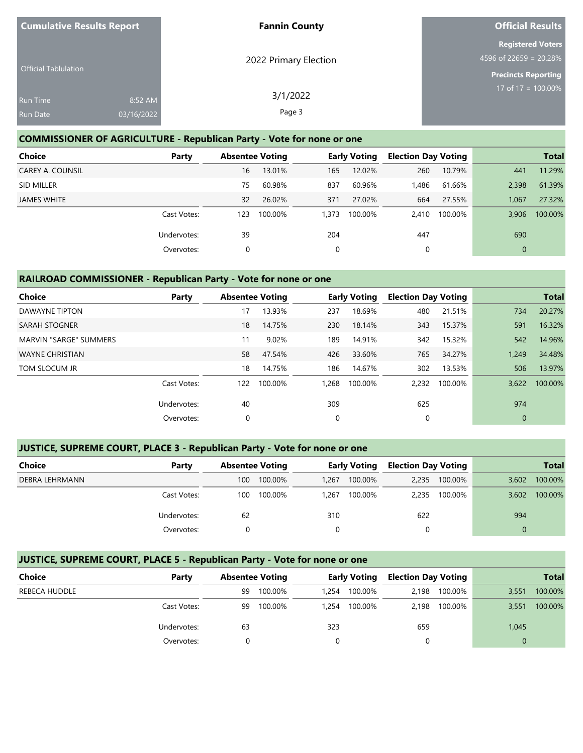| <b>Cumulative Results Report</b>   |                       | <b>Fannin County</b>  | <b>Official Results</b>                                                          |
|------------------------------------|-----------------------|-----------------------|----------------------------------------------------------------------------------|
| <b>Official Tablulation</b>        |                       | 2022 Primary Election | <b>Registered Voters</b><br>4596 of 22659 = 20.28%<br><b>Precincts Reporting</b> |
| <b>Run Time</b><br><b>Run Date</b> | 8:52 AM<br>03/16/2022 | 3/1/2022<br>Page 3    | 17 of 17 = $\overline{100.00\%}$                                                 |

#### **COMMISSIONER OF AGRICULTURE - Republican Party - Vote for none or one**

| <b>Choice</b>           | Party       |     | <b>Absentee Voting</b> |       | <b>Early Voting</b> | <b>Election Day Voting</b> |         |              | <b>Total</b> |
|-------------------------|-------------|-----|------------------------|-------|---------------------|----------------------------|---------|--------------|--------------|
| <b>CAREY A. COUNSIL</b> |             | 16  | 13.01%                 | 165   | 12.02%              | 260                        | 10.79%  | 441          | 11.29%       |
| SID MILLER              |             | 75  | 60.98%                 | 837   | 60.96%              | 1,486                      | 61.66%  | 2.398        | 61.39%       |
| JAMES WHITE             |             | 32  | 26.02%                 | 371   | 27.02%              | 664                        | 27.55%  | 1,067        | 27.32%       |
|                         | Cast Votes: | 123 | 100.00%                | 1,373 | 100.00%             | 2,410                      | 100.00% | 3.906        | 100.00%      |
|                         | Undervotes: | 39  |                        | 204   |                     | 447                        |         | 690          |              |
|                         | Overvotes:  | 0   |                        | 0     |                     | 0                          |         | $\mathbf{0}$ |              |

#### **RAILROAD COMMISSIONER - Republican Party - Vote for none or one**

| <b>Choice</b><br>Party        |     | <b>Absentee Voting</b> |          | <b>Early Voting</b> | <b>Election Day Voting</b> |         |              | <b>Total</b> |
|-------------------------------|-----|------------------------|----------|---------------------|----------------------------|---------|--------------|--------------|
| <b>DAWAYNE TIPTON</b>         | 17  | 13.93%                 | 237      | 18.69%              | 480                        | 21.51%  | 734          | 20.27%       |
| <b>SARAH STOGNER</b>          | 18  | 14.75%                 | 230      | 18.14%              | 343                        | 15.37%  | 591          | 16.32%       |
| <b>MARVIN "SARGE" SUMMERS</b> | 11  | 9.02%                  | 189      | 14.91%              | 342                        | 15.32%  | 542          | 14.96%       |
| <b>WAYNE CHRISTIAN</b>        | 58  | 47.54%                 | 426      | 33.60%              | 765                        | 34.27%  | 1.249        | 34.48%       |
| TOM SLOCUM JR                 | 18  | 14.75%                 | 186      | 14.67%              | 302                        | 13.53%  | 506          | 13.97%       |
| Cast Votes:                   | 122 | 100.00%                | 1.268    | 100.00%             | 2.232                      | 100.00% | 3.622        | 100.00%      |
| Undervotes:                   | 40  |                        | 309      |                     | 625                        |         | 974          |              |
| Overvotes:                    | 0   |                        | $\Omega$ |                     | 0                          |         | $\mathbf{0}$ |              |

# **JUSTICE, SUPREME COURT, PLACE 3 - Republican Party - Vote for none or one**

| Choice         | Party       | <b>Absentee Voting</b> |         |       | Early Voting |       | <b>Election Day Voting</b> |       | <b>Total</b> |
|----------------|-------------|------------------------|---------|-------|--------------|-------|----------------------------|-------|--------------|
| DEBRA LEHRMANN |             | 100                    | 100.00% | 1.267 | 100.00%      | 2.235 | 100.00%                    | 3.602 | 100.00%      |
|                | Cast Votes: | 100                    | 100.00% | 1.267 | 100.00%      | 2.235 | 100.00%                    | 3.602 | 100.00%      |
|                | Undervotes: | 62                     |         | 310   |              | 622   |                            | 994   |              |
|                | Overvotes:  |                        |         | 0     |              | 0     |                            | 0     |              |

# **JUSTICE, SUPREME COURT, PLACE 5 - Republican Party - Vote for none or one**

| Choice               | Party       |    |         | <b>Absentee Voting</b> |         | <b>Early Voting</b> |         | <b>Election Day Voting</b> |         |  | <b>Total</b> |
|----------------------|-------------|----|---------|------------------------|---------|---------------------|---------|----------------------------|---------|--|--------------|
| <b>REBECA HUDDLE</b> |             | 99 | 100.00% | 1.254                  | 100.00% | 2.198               | 100.00% | 3,551                      | 100.00% |  |              |
|                      | Cast Votes: | 99 | 100.00% | 1.254                  | 100.00% | 2.198               | 100.00% | 3,551                      | 100.00% |  |              |
|                      | Undervotes: | 63 |         | 323                    |         | 659                 |         | 1,045                      |         |  |              |
|                      | Overvotes:  |    |         |                        |         |                     |         |                            |         |  |              |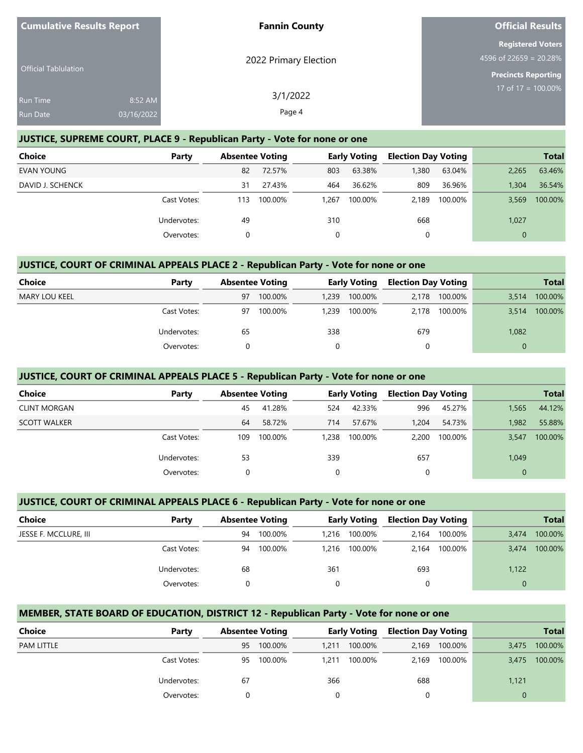| <b>Cumulative Results Report</b> |                       | <b>Fannin County</b>  | <b>Official Results</b>                                                          |
|----------------------------------|-----------------------|-----------------------|----------------------------------------------------------------------------------|
| <b>Official Tablulation</b>      |                       | 2022 Primary Election | <b>Registered Voters</b><br>4596 of 22659 = 20.28%<br><b>Precincts Reporting</b> |
| Run Time<br>Run Date             | 8:52 AM<br>03/16/2022 | 3/1/2022<br>Page 4    | 17 of 17 = $\overline{100.00\%}$                                                 |

#### **JUSTICE, SUPREME COURT, PLACE 9 - Republican Party - Vote for none or one**

| <b>Choice</b>    | Party       | <b>Absentee Voting</b> |         |       | <b>Early Voting</b> | <b>Election Day Voting</b> |         |          | <b>Total</b> |
|------------------|-------------|------------------------|---------|-------|---------------------|----------------------------|---------|----------|--------------|
| EVAN YOUNG       |             | 82                     | 72.57%  | 803   | 63.38%              | 1,380                      | 63.04%  | 2,265    | 63.46%       |
| DAVID J. SCHENCK |             | 31                     | 27.43%  | 464   | 36.62%              | 809                        | 36.96%  | 1,304    | 36.54%       |
|                  | Cast Votes: | 113                    | 100.00% | 1.267 | 100.00%             | 2.189                      | 100.00% | 3.569    | 100.00%      |
|                  | Undervotes: | 49                     |         | 310   |                     | 668                        |         | 1,027    |              |
|                  | Overvotes:  |                        |         |       |                     | 0                          |         | $\Omega$ |              |

#### **JUSTICE, COURT OF CRIMINAL APPEALS PLACE 2 - Republican Party - Vote for none or one**

| <b>Choice</b>        | Party       |    | <b>Absentee Voting</b> |       |         |       | <b>Early Voting</b> |          |         |  | <b>Election Day Voting</b> |  | <b>Total</b> |
|----------------------|-------------|----|------------------------|-------|---------|-------|---------------------|----------|---------|--|----------------------------|--|--------------|
| <b>MARY LOU KEEL</b> |             | 97 | 100.00%                | 1,239 | 100.00% | 2.178 | 100.00%             | 3,514    | 100.00% |  |                            |  |              |
|                      | Cast Votes: | 97 | 100.00%                | 1,239 | 100.00% | 2.178 | 100.00%             | 3.514    | 100.00% |  |                            |  |              |
|                      | Undervotes: | 65 |                        | 338   |         | 679   |                     | 1,082    |         |  |                            |  |              |
|                      | Overvotes:  |    |                        |       |         | 0     |                     | $\Omega$ |         |  |                            |  |              |

#### **JUSTICE, COURT OF CRIMINAL APPEALS PLACE 5 - Republican Party - Vote for none or one**

| <b>Choice</b>       | Party       |     | <b>Absentee Voting</b> |       | <b>Early Voting</b> | <b>Election Day Voting</b> |         |       | <b>Total</b> |
|---------------------|-------------|-----|------------------------|-------|---------------------|----------------------------|---------|-------|--------------|
| <b>CLINT MORGAN</b> |             | 45  | 41.28%                 | 524   | 42.33%              | 996                        | 45.27%  | 1,565 | 44.12%       |
| <b>SCOTT WALKER</b> |             | 64  | 58.72%                 | 714   | 57.67%              | 1.204                      | 54.73%  | 1.982 | 55.88%       |
|                     | Cast Votes: | 109 | 100.00%                | 1,238 | 100.00%             | 2,200                      | 100.00% | 3.547 | 100.00%      |
|                     | Undervotes: | 53  |                        | 339   |                     | 657                        |         | 1,049 |              |
|                     | Overvotes:  |     |                        | 0     |                     |                            |         |       |              |

#### **JUSTICE, COURT OF CRIMINAL APPEALS PLACE 6 - Republican Party - Vote for none or one**

| <b>Choice</b>         | Party       | <b>Absentee Voting</b> |         | <b>Early Voting</b> |               | <b>Election Day Voting</b> |         |       | <b>Total</b> |
|-----------------------|-------------|------------------------|---------|---------------------|---------------|----------------------------|---------|-------|--------------|
| JESSE F. MCCLURE, III |             | 94                     | 100.00% |                     | 1,216 100.00% | 2.164                      | 100.00% | 3.474 | 100.00%      |
|                       | Cast Votes: | 94                     | 100.00% |                     | 1,216 100.00% | 2.164                      | 100.00% | 3.474 | 100.00%      |
|                       | Undervotes: | 68                     |         | 361                 |               | 693                        |         | 1,122 |              |
|                       | Overvotes:  |                        |         |                     |               | 0                          |         |       |              |

#### **MEMBER, STATE BOARD OF EDUCATION, DISTRICT 12 - Republican Party - Vote for none or one**

| <b>Choice</b>     | Party       |    | <b>Absentee Voting</b> |       | <b>Early Voting</b> | <b>Election Day Voting</b> |         |          | <b>Total</b> |
|-------------------|-------------|----|------------------------|-------|---------------------|----------------------------|---------|----------|--------------|
| <b>PAM LITTLE</b> |             | 95 | 100.00%                | 1.211 | 100.00%             | 2.169                      | 100.00% | 3.475    | 100.00%      |
|                   | Cast Votes: | 95 | 100.00%                | 1.211 | 100.00%             | 2.169                      | 100.00% | 3.475    | 100.00%      |
|                   | Undervotes: | 67 |                        | 366   |                     | 688                        |         | 1,121    |              |
|                   | Overvotes:  |    |                        |       |                     |                            |         | $\Omega$ |              |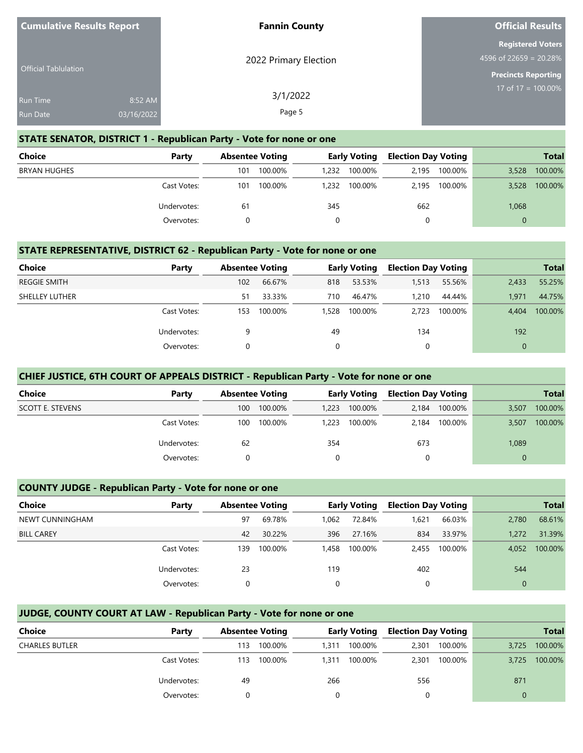| <b>Cumulative Results Report</b>   |                       | <b>Fannin County</b>  | <b>Official Results</b>                                                          |
|------------------------------------|-----------------------|-----------------------|----------------------------------------------------------------------------------|
| <b>Official Tablulation</b>        |                       | 2022 Primary Election | <b>Registered Voters</b><br>4596 of 22659 = 20.28%<br><b>Precincts Reporting</b> |
| <b>Run Time</b><br><b>Run Date</b> | 8:52 AM<br>03/16/2022 | 3/1/2022<br>Page 5    | 17 of $17 = 100.00\%$                                                            |

#### **STATE SENATOR, DISTRICT 1 - Republican Party - Vote for none or one**

| <b>Choice</b>       | Party       |     | <b>Absentee Voting</b> |       | <b>Early Voting</b> |       | <b>Election Day Voting</b> |          | <b>Total</b> |
|---------------------|-------------|-----|------------------------|-------|---------------------|-------|----------------------------|----------|--------------|
| <b>BRYAN HUGHES</b> |             | 101 | 100.00%                | 1,232 | 100.00%             | 2.195 | 100.00%                    | 3,528    | 100.00%      |
|                     | Cast Votes: | 101 | 100.00%                | 1,232 | 100.00%             | 2.195 | 100.00%                    | 3.528    | 100.00%      |
|                     | Undervotes: | 61  |                        | 345   |                     | 662   |                            | 1,068    |              |
|                     | Overvotes:  |     |                        |       |                     | 0     |                            | $\Omega$ |              |

#### **STATE REPRESENTATIVE, DISTRICT 62 - Republican Party - Vote for none or one**

| <b>Choice</b>       | Party       | <b>Absentee Voting</b> |         |       | <b>Early Voting</b> | <b>Election Day Voting</b> |         |              | <b>Total</b> |
|---------------------|-------------|------------------------|---------|-------|---------------------|----------------------------|---------|--------------|--------------|
| <b>REGGIE SMITH</b> |             | 102                    | 66.67%  | 818   | 53.53%              | 1,513                      | 55.56%  | 2,433        | 55.25%       |
| SHELLEY LUTHER      |             | 51                     | 33.33%  | 710   | 46.47%              | 1,210                      | 44.44%  | 1.971        | 44.75%       |
|                     | Cast Votes: | 153                    | 100.00% | 1.528 | 100.00%             | 2.723                      | 100.00% | 4.404        | 100.00%      |
|                     | Undervotes: | 9                      |         | 49    |                     | 134                        |         | 192          |              |
|                     | Overvotes:  | 0                      |         |       |                     | 0                          |         | $\mathbf{0}$ |              |

#### **CHIEF JUSTICE, 6TH COURT OF APPEALS DISTRICT - Republican Party - Vote for none or one**

| Choice                  | Party       |     | <b>Absentee Voting</b> |       | <b>Early Voting</b> | <b>Election Day Voting</b> |         |       | <b>Total</b> |
|-------------------------|-------------|-----|------------------------|-------|---------------------|----------------------------|---------|-------|--------------|
| <b>SCOTT E. STEVENS</b> |             | 100 | 100.00%                | 1.223 | 100.00%             | 2.184                      | 100.00% | 3,507 | 100.00%      |
|                         | Cast Votes: | 100 | 100.00%                | 1.223 | 100.00%             | 2.184                      | 100.00% | 3,507 | 100.00%      |
|                         | Undervotes: | 62  |                        | 354   |                     | 673                        |         | 1,089 |              |
|                         | Overvotes:  |     |                        |       |                     |                            |         |       |              |

#### **COUNTY JUDGE - Republican Party - Vote for none or one**

| <b>Choice</b>     | Party       | <b>Absentee Voting</b> |         |       | <b>Early Voting</b> | <b>Election Day Voting</b> |         |             | <b>Total</b> |
|-------------------|-------------|------------------------|---------|-------|---------------------|----------------------------|---------|-------------|--------------|
| NEWT CUNNINGHAM   |             | 97                     | 69.78%  | 1.062 | 72.84%              | 1,621                      | 66.03%  | 2.780       | 68.61%       |
| <b>BILL CAREY</b> |             | 42                     | 30.22%  | 396   | 27.16%              | 834                        | 33.97%  | 1.272       | 31.39%       |
|                   | Cast Votes: | 139                    | 100.00% | 1.458 | 100.00%             | 2.455                      | 100.00% | 4.052       | 100.00%      |
|                   | Undervotes: | 23                     |         | 119   |                     | 402                        |         | 544         |              |
|                   | Overvotes:  | $\Omega$               |         | 0     |                     | 0                          |         | $\mathbf 0$ |              |

#### **JUDGE, COUNTY COURT AT LAW - Republican Party - Vote for none or one**

| Choice                | Party       | <b>Absentee Voting</b> |         | <b>Early Voting</b> |         | <b>Election Day Voting</b> |         |          | <b>Total</b> |
|-----------------------|-------------|------------------------|---------|---------------------|---------|----------------------------|---------|----------|--------------|
| <b>CHARLES BUTLER</b> |             | 113                    | 100.00% | 1.311               | 100.00% | 2.301                      | 100.00% | 3.725    | 100.00%      |
|                       | Cast Votes: | 113                    | 100.00% | 1.311               | 100.00% | 2,301                      | 100.00% | 3.725    | 100.00%      |
|                       | Undervotes: | 49                     |         | 266                 |         | 556                        |         | 871      |              |
|                       | Overvotes:  |                        |         |                     |         | 0                          |         | $\Omega$ |              |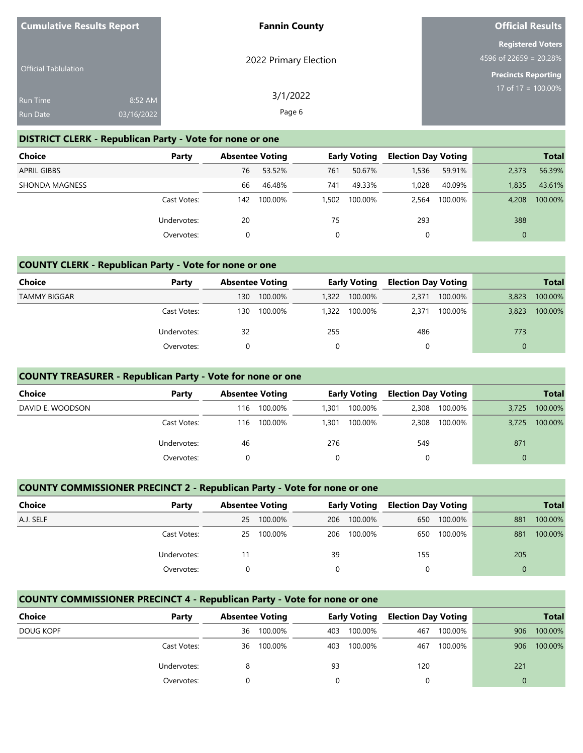| <b>Cumulative Results Report</b> |            | <b>Fannin County</b>  | <b>Official Results</b>                            |
|----------------------------------|------------|-----------------------|----------------------------------------------------|
|                                  |            | 2022 Primary Election | <b>Registered Voters</b><br>4596 of 22659 = 20.28% |
| <b>Official Tablulation</b>      |            |                       | <b>Precincts Reporting</b>                         |
| <b>Run Time</b>                  | 8:52 AM    | 3/1/2022              | 17 of $17 = 100.00\%$                              |
| <b>Run Date</b>                  | 03/16/2022 | Page 6                |                                                    |

#### **DISTRICT CLERK - Republican Party - Vote for none or one**

| <b>Choice</b>      | Party       | <b>Absentee Voting</b> |         |     | <b>Early Voting</b> | <b>Election Day Voting</b> |         |              | <b>Total</b> |
|--------------------|-------------|------------------------|---------|-----|---------------------|----------------------------|---------|--------------|--------------|
| <b>APRIL GIBBS</b> |             | 76                     | 53.52%  | 761 | 50.67%              | 1,536                      | 59.91%  | 2.373        | 56.39%       |
| SHONDA MAGNESS     |             | 66                     | 46.48%  | 741 | 49.33%              | 1.028                      | 40.09%  | 1.835        | 43.61%       |
|                    | Cast Votes: | 142                    | 100.00% |     | 1.502 100.00%       | 2,564                      | 100.00% | 4.208        | 100.00%      |
|                    | Undervotes: | 20                     |         | 75  |                     | 293                        |         | 388          |              |
|                    | Overvotes:  |                        |         |     |                     |                            |         | $\mathbf{0}$ |              |

#### **COUNTY CLERK - Republican Party - Vote for none or one**

| Choice              | Party       |     | <b>Absentee Voting</b> |       | <b>Early Voting</b> |       | <b>Election Day Voting</b> |          | <b>Total</b> |
|---------------------|-------------|-----|------------------------|-------|---------------------|-------|----------------------------|----------|--------------|
| <b>TAMMY BIGGAR</b> |             | 130 | 100.00%                | 1,322 | 100.00%             | 2.371 | 100.00%                    | 3,823    | 100.00%      |
|                     | Cast Votes: | 130 | 100.00%                | 1,322 | 100.00%             | 2.371 | 100.00%                    | 3,823    | 100.00%      |
|                     | Undervotes: | 32  |                        | 255   |                     | 486   |                            | 773      |              |
|                     | Overvotes:  |     |                        | 0     |                     | 0     |                            | $\Omega$ |              |

#### **COUNTY TREASURER - Republican Party - Vote for none or one**

| <b>Choice</b>    | Party       | <b>Absentee Voting</b> |         | <b>Early Voting</b> |         | <b>Election Day Voting</b> |         |          | <b>Total</b> |
|------------------|-------------|------------------------|---------|---------------------|---------|----------------------------|---------|----------|--------------|
| DAVID E. WOODSON |             | 116                    | 100.00% | 1.301               | 100.00% | 2.308                      | 100.00% | 3.725    | 100.00%      |
|                  | Cast Votes: | 116                    | 100.00% | 1.301               | 100.00% | 2,308                      | 100.00% | 3.725    | 100.00%      |
|                  | Undervotes: | 46                     |         | 276                 |         | 549                        |         | 871      |              |
|                  | Overvotes:  |                        |         |                     |         | 0                          |         | $\Omega$ |              |

#### **COUNTY COMMISSIONER PRECINCT 2 - Republican Party - Vote for none or one**

| <b>Choice</b> | Party       |    | <b>Absentee Voting</b> |          | <b>Early Voting Election Day Voting</b> |     |         |          | <b>Total</b> |
|---------------|-------------|----|------------------------|----------|-----------------------------------------|-----|---------|----------|--------------|
| A.J. SELF     |             | 25 | 100.00%                |          | 206 100.00%                             | 650 | 100.00% | 881      | 100.00%      |
|               | Cast Votes: | 25 | 100.00%                |          | 206 100.00%                             | 650 | 100.00% | 881      | 100.00%      |
|               | Undervotes: |    |                        | 39       |                                         | 155 |         | 205      |              |
|               | Overvotes:  |    |                        | $\Omega$ |                                         | 0   |         | $\Omega$ |              |

#### **COUNTY COMMISSIONER PRECINCT 4 - Republican Party - Vote for none or one**

| Choice    | Party       | <b>Absentee Voting</b> |         | <b>Early Voting</b> |         | <b>Election Day Voting</b> |         |     | <b>Total</b> |
|-----------|-------------|------------------------|---------|---------------------|---------|----------------------------|---------|-----|--------------|
| DOUG KOPF |             | 36                     | 100.00% | 403                 | 100.00% | 467                        | 100.00% | 906 | 100.00%      |
|           | Cast Votes: | 36                     | 100.00% | 403                 | 100.00% | 467                        | 100.00% | 906 | 100.00%      |
|           | Undervotes: |                        |         | 93                  |         | 120                        |         | 221 |              |
|           | Overvotes:  |                        |         |                     |         |                            |         |     |              |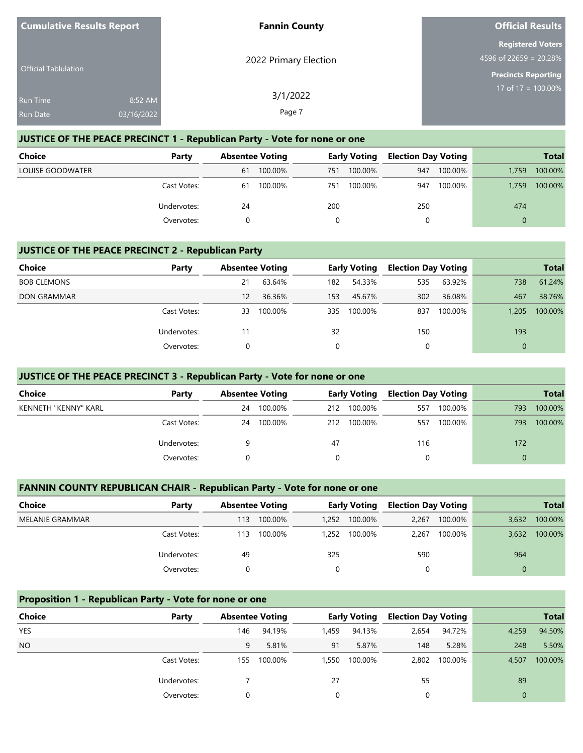| <b>Cumulative Results Report</b>   |                       | <b>Fannin County</b>  | <b>Official Results</b>                                                             |
|------------------------------------|-----------------------|-----------------------|-------------------------------------------------------------------------------------|
| <b>Official Tablulation</b>        |                       | 2022 Primary Election | <b>Registered Voters</b><br>4596 of 22659 = $20.28\%$<br><b>Precincts Reporting</b> |
| <b>Run Time</b><br><b>Run Date</b> | 8:52 AM<br>03/16/2022 | 3/1/2022<br>Page 7    | 17 of 17 = $100.00\%$                                                               |

## **JUSTICE OF THE PEACE PRECINCT 1 - Republican Party - Vote for none or one**

| <b>Choice</b>    | Party       | <b>Absentee Voting</b> |         | Early Voting |         | <b>Election Day Voting</b> |         |          | <b>Total</b> |
|------------------|-------------|------------------------|---------|--------------|---------|----------------------------|---------|----------|--------------|
| LOUISE GOODWATER |             | 61                     | 100.00% | 751          | 100.00% | 947                        | 100.00% | 1.759    | 100.00%      |
|                  | Cast Votes: | 61                     | 100.00% | 751          | 100.00% | 947                        | 100.00% | 1.759    | 100.00%      |
|                  | Undervotes: | 24                     |         | 200          |         | 250                        |         | 474      |              |
|                  | Overvotes:  |                        |         |              |         | 0                          |         | $\Omega$ |              |

#### **JUSTICE OF THE PEACE PRECINCT 2 - Republican Party**

| <b>Choice</b>      | Party       | <b>Absentee Voting</b> |         |     | <b>Early Voting</b> | <b>Election Day Voting</b> |         |              | <b>Total</b> |
|--------------------|-------------|------------------------|---------|-----|---------------------|----------------------------|---------|--------------|--------------|
| <b>BOB CLEMONS</b> |             | 21                     | 63.64%  | 182 | 54.33%              | 535                        | 63.92%  | 738          | 61.24%       |
| <b>DON GRAMMAR</b> |             | 12                     | 36.36%  | 153 | 45.67%              | 302                        | 36.08%  | 467          | 38.76%       |
|                    | Cast Votes: | 33                     | 100.00% | 335 | 100.00%             | 837                        | 100.00% | 1,205        | 100.00%      |
|                    | Undervotes: | 11                     |         | 32  |                     | 150                        |         | 193          |              |
|                    | Overvotes:  | 0                      |         |     |                     | 0                          |         | $\mathbf{0}$ |              |

#### **JUSTICE OF THE PEACE PRECINCT 3 - Republican Party - Vote for none or one**

| <b>Choice</b>        | Party       | <b>Absentee Voting</b> |         |     |         | <b>Early Voting</b> |         | <b>Election Day Voting</b> |         |  | <b>Total</b> |
|----------------------|-------------|------------------------|---------|-----|---------|---------------------|---------|----------------------------|---------|--|--------------|
| KENNETH "KENNY" KARL |             | 24                     | 100.00% | 212 | 100.00% | 557                 | 100.00% | 793                        | 100.00% |  |              |
|                      | Cast Votes: | 24                     | 100.00% | 212 | 100.00% | 557                 | 100.00% | 793                        | 100.00% |  |              |
|                      | Undervotes: |                        |         | 47  |         | 116                 |         | 172                        |         |  |              |
|                      | Overvotes:  |                        |         |     |         |                     |         |                            |         |  |              |

## **FANNIN COUNTY REPUBLICAN CHAIR - Republican Party - Vote for none or one**

| Choice                 | Party       | <b>Absentee Voting</b> |         | <b>Early Voting</b> |         |       |         | <b>Election Day Voting</b> |         |  | <b>Total</b> |
|------------------------|-------------|------------------------|---------|---------------------|---------|-------|---------|----------------------------|---------|--|--------------|
| <b>MELANIE GRAMMAR</b> |             | 113                    | 100.00% | 1.252               | 100.00% | 2.267 | 100.00% | 3,632                      | 100.00% |  |              |
|                        | Cast Votes: | 113                    | 100.00% | 1.252               | 100.00% | 2.267 | 100.00% | 3,632                      | 100.00% |  |              |
|                        | Undervotes: | 49                     |         | 325                 |         | 590   |         | 964                        |         |  |              |
|                        | Overvotes:  |                        |         | 0                   |         | 0     |         | $\Omega$                   |         |  |              |

#### **Proposition 1 - Republican Party - Vote for none or one**

| <b>Choice</b> | Party       |     | <b>Absentee Voting</b> |       | Early Voting | <b>Election Day Voting</b> |         |              | <b>Total</b> |
|---------------|-------------|-----|------------------------|-------|--------------|----------------------------|---------|--------------|--------------|
| <b>YES</b>    |             | 146 | 94.19%                 | 1,459 | 94.13%       | 2,654                      | 94.72%  | 4,259        | 94.50%       |
| <b>NO</b>     |             | 9   | 5.81%                  | 91    | 5.87%        | 148                        | 5.28%   | 248          | 5.50%        |
|               | Cast Votes: | 155 | 100.00%                | 1,550 | 100.00%      | 2,802                      | 100.00% | 4,507        | 100.00%      |
|               | Undervotes: |     |                        | 27    |              | 55                         |         | 89           |              |
|               | Overvotes:  | 0   |                        | 0     |              | 0                          |         | $\mathbf{0}$ |              |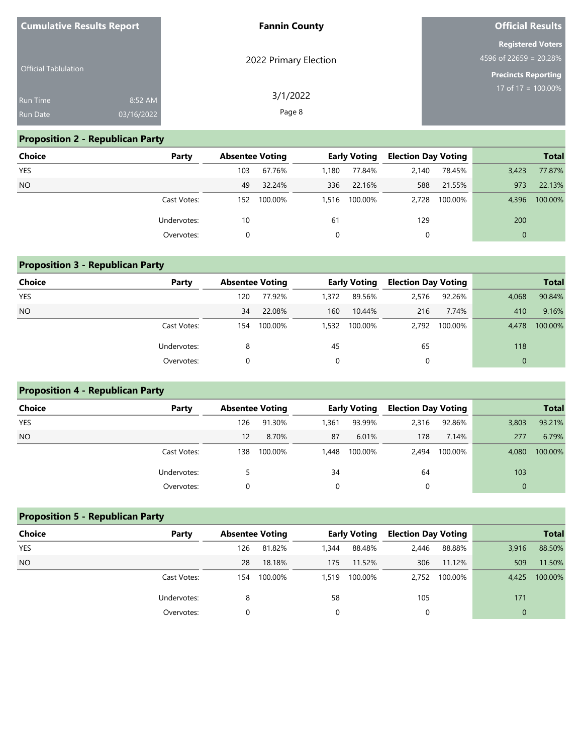| <b>Cumulative Results Report</b>   |                       | <b>Fannin County</b>  | <b>Official Results</b>                                                            |
|------------------------------------|-----------------------|-----------------------|------------------------------------------------------------------------------------|
| <b>Official Tablulation</b>        |                       | 2022 Primary Election | <b>Registered Voters</b><br>$4596$ of 22659 = 20.28%<br><b>Precincts Reporting</b> |
| <b>Run Time</b><br><b>Run Date</b> | 8:52 AM<br>03/16/2022 | 3/1/2022<br>Page 8    | $17 \text{ of } 17 = 100.00\%$                                                     |

## **Proposition 2 - Republican Party**

| <b>Choice</b> | Party       | <b>Absentee Voting</b> |         |       | <b>Early Voting</b> | <b>Election Day Voting</b> |         |              | <b>Total</b> |
|---------------|-------------|------------------------|---------|-------|---------------------|----------------------------|---------|--------------|--------------|
| <b>YES</b>    |             | 103                    | 67.76%  | 1.180 | 77.84%              | 2.140                      | 78.45%  | 3,423        | 77.87%       |
| <b>NO</b>     |             | 49                     | 32.24%  | 336   | 22.16%              | 588                        | 21.55%  | 973          | 22.13%       |
|               | Cast Votes: | 152                    | 100.00% |       | 1,516 100.00%       | 2.728                      | 100.00% | 4.396        | 100.00%      |
|               | Undervotes: | 10                     |         | 61    |                     | 129                        |         | 200          |              |
|               | Overvotes:  | 0                      |         |       |                     | 0                          |         | $\mathbf{0}$ |              |

#### **Proposition 3 - Republican Party**

| Choice     | Party       | <b>Absentee Voting</b> |         |       | <b>Early Voting</b> | <b>Election Day Voting</b> |         |              | <b>Total</b> |
|------------|-------------|------------------------|---------|-------|---------------------|----------------------------|---------|--------------|--------------|
| <b>YES</b> |             | 120                    | 77.92%  | 1,372 | 89.56%              | 2,576                      | 92.26%  | 4,068        | 90.84%       |
| <b>NO</b>  |             | 34                     | 22.08%  | 160   | 10.44%              | 216                        | 7.74%   | 410          | 9.16%        |
|            | Cast Votes: | 154                    | 100.00% | 1,532 | 100.00%             | 2.792                      | 100.00% | 4.478        | 100.00%      |
|            | Undervotes: | 8                      |         | 45    |                     | 65                         |         | 118          |              |
|            | Overvotes:  |                        |         | 0     |                     | 0                          |         | $\mathbf{0}$ |              |

## **Proposition 4 - Republican Party**

| Choice     | Party       | <b>Absentee Voting</b> |         |          | <b>Early Voting</b> | <b>Election Day Voting</b> |         |          | <b>Total</b> |
|------------|-------------|------------------------|---------|----------|---------------------|----------------------------|---------|----------|--------------|
| <b>YES</b> |             | 126                    | 91.30%  | 1,361    | 93.99%              | 2,316                      | 92.86%  | 3,803    | 93.21%       |
| <b>NO</b>  |             | 12                     | 8.70%   | 87       | 6.01%               | 178                        | 7.14%   | 277      | 6.79%        |
|            | Cast Votes: | 138                    | 100.00% | 1,448    | 100.00%             | 2.494                      | 100.00% | 4.080    | 100.00%      |
|            | Undervotes: |                        |         | 34       |                     | 64                         |         | 103      |              |
|            | Overvotes:  |                        |         | $\Omega$ |                     | $\Omega$                   |         | $\Omega$ |              |

# **Proposition 5 - Republican Party Choice Party Absentee Voting Early Voting Election Day Voting Total** YES 126 81.82% 1,344 88.48% 2,446 88.88% 3,916 88.50% NO 28 18.18% 175 11.52% 306 11.12% 509 11.50% Cast Votes: 154 100.00% 1,519 100.00% 2,752 100.00% 4,425 100.00% Undervotes: 8 58 105 171 Overvotes: 0 0 0 0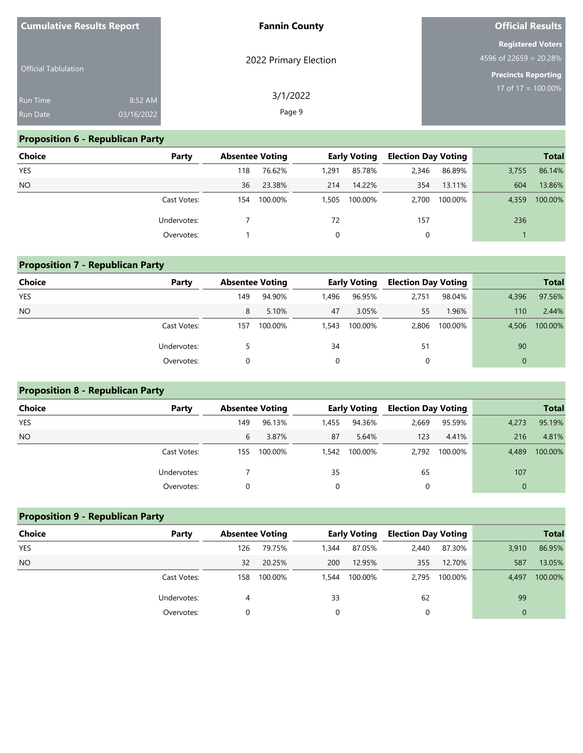| <b>Cumulative Results Report</b>   |                       | <b>Fannin County</b>  | <b>Official Results</b>                                                          |  |  |
|------------------------------------|-----------------------|-----------------------|----------------------------------------------------------------------------------|--|--|
| <b>Official Tablulation</b>        |                       | 2022 Primary Election | <b>Registered Voters</b><br>4596 of 22659 = 20.28%<br><b>Precincts Reporting</b> |  |  |
| <b>Run Time</b><br><b>Run Date</b> | 8:52 AM<br>03/16/2022 | 3/1/2022<br>Page 9    | 17 of $17 = 100.00\%$                                                            |  |  |

# **Proposition 6 - Republican Party**

| Choice     | Party       | <b>Absentee Voting</b> |         |       | <b>Early Voting</b> | <b>Election Day Voting</b> |         |       | <b>Total</b> |
|------------|-------------|------------------------|---------|-------|---------------------|----------------------------|---------|-------|--------------|
| <b>YES</b> |             | 118                    | 76.62%  | 1,291 | 85.78%              | 2,346                      | 86.89%  | 3,755 | 86.14%       |
| <b>NO</b>  |             | 36                     | 23.38%  | 214   | 14.22%              | 354                        | 13.11%  | 604   | 13.86%       |
|            | Cast Votes: | 154                    | 100.00% | 1.505 | 100.00%             | 2,700                      | 100.00% | 4,359 | 100.00%      |
|            | Undervotes: |                        |         | 72    |                     | 157                        |         | 236   |              |
|            | Overvotes:  |                        |         |       |                     | 0                          |         |       |              |

| Choice     | Party       |     | <b>Absentee Voting</b> |       | <b>Early Voting</b> | <b>Election Day Voting</b> |         |              | <b>Total</b> |
|------------|-------------|-----|------------------------|-------|---------------------|----------------------------|---------|--------------|--------------|
| <b>YES</b> |             | 149 | 94.90%                 | 1,496 | 96.95%              | 2,751                      | 98.04%  | 4,396        | 97.56%       |
| <b>NO</b>  |             | 8   | 5.10%                  | 47    | 3.05%               | 55                         | 1.96%   | 110          | 2.44%        |
|            | Cast Votes: | 157 | 100.00%                | 1,543 | 100.00%             | 2,806                      | 100.00% | 4.506        | 100.00%      |
|            | Undervotes: |     |                        | 34    |                     | 51                         |         | 90           |              |
|            | Overvotes:  | 0   |                        | 0     |                     | 0                          |         | $\mathbf{0}$ |              |

# **Proposition 8 - Republican Party**

**Proposition 9 - Republican Party**

| Choice     | Party       | <b>Absentee Voting</b> |         |       | <b>Early Voting</b> | <b>Election Day Voting</b> |         |          | <b>Total</b> |
|------------|-------------|------------------------|---------|-------|---------------------|----------------------------|---------|----------|--------------|
| <b>YES</b> |             | 149                    | 96.13%  | 1,455 | 94.36%              | 2,669                      | 95.59%  | 4,273    | 95.19%       |
| <b>NO</b>  |             | 6                      | 3.87%   | 87    | 5.64%               | 123                        | 4.41%   | 216      | 4.81%        |
|            | Cast Votes: | 155                    | 100.00% | 1,542 | 100.00%             | 2.792                      | 100.00% | 4,489    | 100.00%      |
|            | Undervotes: |                        |         | 35    |                     | 65                         |         | 107      |              |
|            | Overvotes:  |                        |         |       |                     | $\Omega$                   |         | $\Omega$ |              |

| <b>Proposition 9 - Republican Party</b> |                                                        |     |                            |       |               |              |         |              |         |  |
|-----------------------------------------|--------------------------------------------------------|-----|----------------------------|-------|---------------|--------------|---------|--------------|---------|--|
| Choice                                  | <b>Absentee Voting</b><br>Party<br><b>Early Voting</b> |     | <b>Election Day Voting</b> |       |               | <b>Total</b> |         |              |         |  |
| <b>YES</b>                              |                                                        | 126 | 79.75%                     | 1,344 | 87.05%        | 2,440        | 87.30%  | 3,910        | 86.95%  |  |
| NO <sub>1</sub>                         |                                                        | 32  | 20.25%                     | 200   | 12.95%        | 355          | 12.70%  | 587          | 13.05%  |  |
|                                         | Cast Votes:                                            | 158 | 100.00%                    |       | 1,544 100.00% | 2.795        | 100.00% | 4.497        | 100.00% |  |
|                                         | Undervotes:                                            | 4   |                            | 33    |               | 62           |         | 99           |         |  |
|                                         | Overvotes:                                             | 0   |                            |       |               | $\Omega$     |         | $\mathbf{0}$ |         |  |